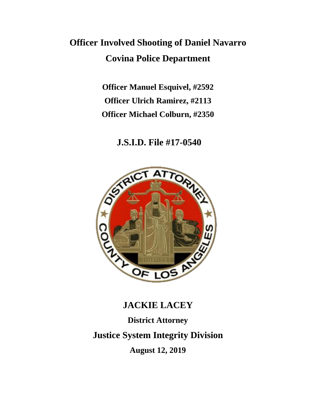## **Officer Involved Shooting of Daniel Navarro Covina Police Department**

**Officer Manuel Esquivel, #2592 Officer Ulrich Ramirez, #2113 Officer Michael Colburn, #2350**

**J.S.I.D. File #17-0540**



# **JACKIE LACEY District Attorney Justice System Integrity Division August 12, 2019**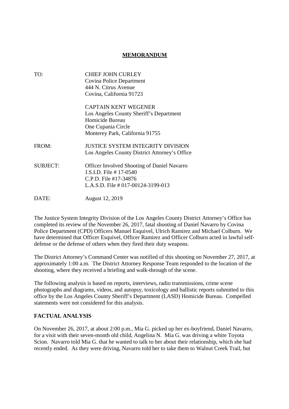## **MEMORANDUM**

| TO:             | <b>CHIEF JOHN CURLEY</b>                           |
|-----------------|----------------------------------------------------|
|                 | Covina Police Department                           |
|                 | 444 N. Citrus Avenue                               |
|                 | Covina, California 91723                           |
|                 | <b>CAPTAIN KENT WEGENER</b>                        |
|                 | Los Angeles County Sheriff's Department            |
|                 | Homicide Bureau                                    |
|                 | One Cupania Circle                                 |
|                 | Monterey Park, California 91755                    |
| FROM:           | <b>JUSTICE SYSTEM INTEGRITY DIVISION</b>           |
|                 | Los Angeles County District Attorney's Office      |
| <b>SUBJECT:</b> | <b>Officer Involved Shooting of Daniel Navarro</b> |
|                 | J.S.I.D. File # 17-0540                            |
|                 | C.P.D. File #17-34876                              |
|                 | L.A.S.D. File $\#$ 017-00124-3199-013              |
| DATE:           | August 12, 2019                                    |

The Justice System Integrity Division of the Los Angeles County District Attorney's Office has completed its review of the November 26, 2017, fatal shooting of Daniel Navarro by Covina Police Department (CPD) Officers Manuel Esquivel, Ulrich Ramirez and Michael Colburn. We have determined that Officer Esquivel, Officer Ramirez and Officer Colburn acted in lawful selfdefense or the defense of others when they fired their duty weapons.

The District Attorney's Command Center was notified of this shooting on November 27, 2017, at approximately 1:00 a.m. The District Attorney Response Team responded to the location of the shooting, where they received a briefing and walk-through of the scene.

The following analysis is based on reports, interviews, radio transmissions, crime scene photographs and diagrams, videos, and autopsy, toxicology and ballistic reports submitted to this office by the Los Angeles County Sheriff's Department (LASD) Homicide Bureau. Compelled statements were not considered for this analysis.

## **FACTUAL ANALYSIS**

On November 26, 2017, at about 2:00 p.m., Mia G. picked up her ex-boyfriend, Daniel Navarro, for a visit with their seven-month old child, Angelina N. Mia G. was driving a white Toyota Scion. Navarro told Mia G. that he wanted to talk to her about their relationship, which she had recently ended. As they were driving, Navarro told her to take them to Walnut Creek Trail, but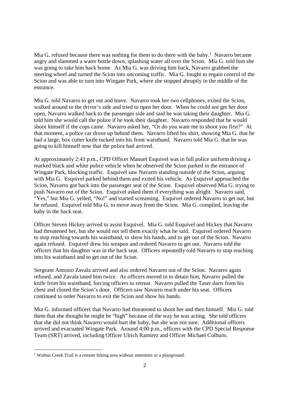Mia G. refused because there was nothing for them to do there with the baby.<sup>1</sup> Navarro became angry and slammed a water bottle down, splashing water all over the Scion. Mia G. told him she was going to take him back home. As Mia G. was driving him back, Navarro grabbed the steering wheel and turned the Scion into oncoming traffic. Mia G. fought to regain control of the Scion and was able to turn into Wingate Park, where she stopped abruptly in the middle of the entrance.

Mia G. told Navarro to get out and leave. Navarro took her two cellphones, exited the Scion, walked around to the driver's side and tried to open her door. When he could not get her door open, Navarro walked back to the passenger side and said he was taking their daughter. Mia G. told him she would call the police if he took their daughter. Navarro responded that he would shoot himself if the cops came. Navarro asked her, "Or do you want me to shoot you first?" At that moment, a police car drove up behind them. Navarro lifted his shirt, showing Mia G. that he had a large, box cutter knife tucked into his front waistband. Navarro told Mia G. that he was going to kill himself now that the police had arrived.

At approximately 2:43 p.m., CPD Officer Manuel Esquivel was in full police uniform driving a marked black and white police vehicle when he observed the Scion parked in the entrance of Wingate Park, blocking traffic. Esquivel saw Navarro standing outside of the Scion, arguing with Mia G. Esquivel parked behind them and exited his vehicle. As Esquivel approached the Scion, Navarro got back into the passenger seat of the Scion. Esquivel observed Mia G. trying to push Navarro out of the Scion. Esquivel asked them if everything was alright. Navarro said, "Yes," but Mia G. yelled, "No!" and started screaming. Esquivel ordered Navarro to get out, but he refused. Esquivel told Mia G. to move away from the Scion. Mia G. complied, leaving the baby in the back seat.

Officer Steven Hickey arrived to assist Esquivel. Mia G. told Esquivel and Hickey that Navarro had threatened her, but she would not tell them exactly what he said. Esquivel ordered Navarro to stop reaching towards his waistband, to show his hands, and to get out of the Scion. Navarro again refused. Esquivel drew his weapon and ordered Navarro to get out. Navarro told the officers that his daughter was in the back seat. Officers repeatedly told Navarro to stop reaching into his waistband and to get out of the Scion.

Sergeant Antonio Zavala arrived and also ordered Navarro out of the Scion. Navarro again refused, and Zavala tased him twice. As officers moved in to detain him, Navarro pulled the knife from his waistband, forcing officers to retreat. Navarro pulled the Taser darts from his chest and closed the Scion's door. Officers saw Navarro reach under his seat. Officers continued to order Navarro to exit the Scion and show his hands.

Mia G. informed officers that Navarro had threatened to shoot her and then himself. Mia G. told them that she thought he might be "high" because of the way he was acting. She told officers that she did not think Navarro would hurt the baby, but she was not sure. Additional officers arrived and evacuated Wingate Park. Around 4:00 p.m., officers with the CPD Special Response Team (SRT) arrived, including Officer Ulrich Ramirez and Officer Michael Colburn.

<sup>&</sup>lt;sup>1</sup> Walnut Creek Trail is a remote hiking area without amenities or a playground.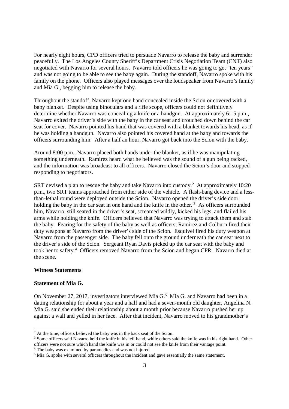For nearly eight hours, CPD officers tried to persuade Navarro to release the baby and surrender peacefully. The Los Angeles County Sheriff's Department Crisis Negotiation Team (CNT) also negotiated with Navarro for several hours. Navarro told officers he was going to get "ten years" and was not going to be able to see the baby again. During the standoff, Navarro spoke with his family on the phone. Officers also played messages over the loudspeaker from Navarro's family and Mia G., begging him to release the baby.

Throughout the standoff, Navarro kept one hand concealed inside the Scion or covered with a baby blanket. Despite using binoculars and a rifle scope, officers could not definitively determine whether Navarro was concealing a knife or a handgun. At approximately 6:15 p.m., Navarro exited the driver's side with the baby in the car seat and crouched down behind the car seat for cover. Navarro pointed his hand that was covered with a blanket towards his head, as if he was holding a handgun. Navarro also pointed his covered hand at the baby and towards the officers surrounding him. After a half an hour, Navarro got back into the Scion with the baby.

Around 8:00 p.m., Navarro placed both hands under the blanket, as if he was manipulating something underneath. Ramirez heard what he believed was the sound of a gun being racked, and the information was broadcast to all officers. Navarro closed the Scion's door and stopped responding to negotiators.

SRT devised a plan to rescue the baby and take Navarro into custody.<sup>2</sup> At approximately 10:20 p.m., two SRT teams approached from either side of the vehicle. A flash-bang device and a lessthan-lethal round were deployed outside the Scion. Navarro opened the driver's side door, holding the baby in the car seat in one hand and the knife in the other.<sup>3</sup> As officers surrounded him, Navarro, still seated in the driver's seat, screamed wildly, kicked his legs, and flailed his arms while holding the knife. Officers believed that Navarro was trying to attack them and stab the baby. Fearing for the safety of the baby as well as officers, Ramirez and Colburn fired their duty weapons at Navarro from the driver's side of the Scion. Esquivel fired his duty weapon at Navarro from the passenger side. The baby fell onto the ground underneath the car seat next to the driver's side of the Scion. Sergeant Ryan Davis picked up the car seat with the baby and took her to safety.<sup>4</sup> Officers removed Navarro from the Scion and began CPR. Navarro died at the scene.

### **Witness Statements**

#### **Statement of Mia G.**

On November 27, 2017, investigators interviewed Mia G.<sup>5</sup> Mia G. and Navarro had been in a dating relationship for about a year and a half and had a seven-month old daughter, Angelina N. Mia G. said she ended their relationship about a month prior because Navarro pushed her up against a wall and yelled in her face. After that incident, Navarro moved to his grandmother's

<sup>&</sup>lt;sup>2</sup> At the time, officers believed the baby was in the back seat of the Scion.

<sup>&</sup>lt;sup>3</sup> Some officers said Navarro held the knife in his left hand, while others said the knife was in his right hand. Other officers were not sure which hand the knife was in or could not see the knife from their vantage point. <sup>4</sup> The baby was examined by paramedics and was not injured.

<sup>&</sup>lt;sup>5</sup> Mia G. spoke with several officers throughout the incident and gave essentially the same statement.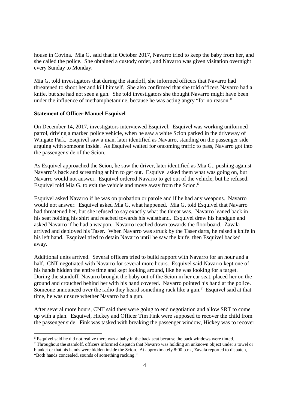house in Covina. Mia G. said that in October 2017, Navarro tried to keep the baby from her, and she called the police. She obtained a custody order, and Navarro was given visitation overnight every Sunday to Monday.

Mia G. told investigators that during the standoff, she informed officers that Navarro had threatened to shoot her and kill himself. She also confirmed that she told officers Navarro had a knife, but she had not seen a gun. She told investigators she thought Navarro might have been under the influence of methamphetamine, because he was acting angry "for no reason."

## **Statement of Officer Manuel Esquivel**

On December 14, 2017, investigators interviewed Esquivel. Esquivel was working uniformed patrol, driving a marked police vehicle, when he saw a white Scion parked in the driveway of Wingate Park. Esquivel saw a man, later identified as Navarro, standing on the passenger side arguing with someone inside. As Esquivel waited for oncoming traffic to pass, Navarro got into the passenger side of the Scion.

As Esquivel approached the Scion, he saw the driver, later identified as Mia G., pushing against Navarro's back and screaming at him to get out. Esquivel asked them what was going on, but Navarro would not answer. Esquivel ordered Navarro to get out of the vehicle, but he refused. Esquivel told Mia G. to exit the vehicle and move away from the Scion.<sup>6</sup>

Esquivel asked Navarro if he was on probation or parole and if he had any weapons. Navarro would not answer. Esquivel asked Mia G. what happened. Mia G. told Esquivel that Navarro had threatened her, but she refused to say exactly what the threat was. Navarro leaned back in his seat holding his shirt and reached towards his waistband. Esquivel drew his handgun and asked Navarro if he had a weapon. Navarro reached down towards the floorboard. Zavala arrived and deployed his Taser. When Navarro was struck by the Taser darts, he raised a knife in his left hand. Esquivel tried to detain Navarro until he saw the knife, then Esquivel backed away.

Additional units arrived. Several officers tried to build rapport with Navarro for an hour and a half. CNT negotiated with Navarro for several more hours. Esquivel said Navarro kept one of his hands hidden the entire time and kept looking around, like he was looking for a target. During the standoff, Navarro brought the baby out of the Scion in her car seat, placed her on the ground and crouched behind her with his hand covered. Navarro pointed his hand at the police. Someone announced over the radio they heard something rack like a gun.<sup>7</sup> Esquivel said at that time, he was unsure whether Navarro had a gun.

After several more hours, CNT said they were going to end negotiation and allow SRT to come up with a plan. Esquivel, Hickey and Officer Tim Fink were supposed to recover the child from the passenger side. Fink was tasked with breaking the passenger window, Hickey was to recover

<sup>6</sup> Esquivel said he did not realize there was a baby in the back seat because the back windows were tinted.

<sup>&</sup>lt;sup>7</sup> Throughout the standoff, officers informed dispatch that Navarro was holding an unknown object under a towel or blanket or that his hands were hidden inside the Scion. At approximately 8:00 p.m., Zavala reported to dispatch, "Both hands concealed, sounds of something racking."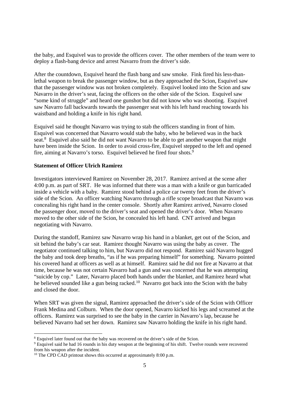the baby, and Esquivel was to provide the officers cover. The other members of the team were to deploy a flash-bang device and arrest Navarro from the driver's side.

After the countdown, Esquivel heard the flash bang and saw smoke. Fink fired his less-thanlethal weapon to break the passenger window, but as they approached the Scion, Esquivel saw that the passenger window was not broken completely. Esquivel looked into the Scion and saw Navarro in the driver's seat, facing the officers on the other side of the Scion. Esquivel saw "some kind of struggle" and heard one gunshot but did not know who was shooting. Esquivel saw Navarro fall backwards towards the passenger seat with his left hand reaching towards his waistband and holding a knife in his right hand.

Esquivel said he thought Navarro was trying to stab the officers standing in front of him. Esquivel was concerned that Navarro would stab the baby, who he believed was in the back seat.<sup>8</sup> Esquivel also said he did not want Navarro to be able to get another weapon that might have been inside the Scion. In order to avoid cross-fire, Esquivel stepped to the left and opened fire, aiming at Navarro's torso. Esquivel believed he fired four shots.<sup>9</sup>

## **Statement of Officer Ulrich Ramirez**

Investigators interviewed Ramirez on November 28, 2017. Ramirez arrived at the scene after 4:00 p.m. as part of SRT. He was informed that there was a man with a knife or gun barricaded inside a vehicle with a baby. Ramirez stood behind a police car twenty feet from the driver's side of the Scion. An officer watching Navarro through a rifle scope broadcast that Navarro was concealing his right hand in the center console. Shortly after Ramirez arrived, Navarro closed the passenger door, moved to the driver's seat and opened the driver's door. When Navarro moved to the other side of the Scion, he concealed his left hand. CNT arrived and began negotiating with Navarro.

During the standoff, Ramirez saw Navarro wrap his hand in a blanket, get out of the Scion, and sit behind the baby's car seat. Ramirez thought Navarro was using the baby as cover. The negotiator continued talking to him, but Navarro did not respond. Ramirez said Navarro hugged the baby and took deep breaths, "as if he was preparing himself" for something. Navarro pointed his covered hand at officers as well as at himself. Ramirez said he did not fire at Navarro at that time, because he was not certain Navarro had a gun and was concerned that he was attempting "suicide by cop." Later, Navarro placed both hands under the blanket, and Ramirez heard what he believed sounded like a gun being racked.<sup>10</sup> Navarro got back into the Scion with the baby and closed the door.

When SRT was given the signal, Ramirez approached the driver's side of the Scion with Officer Frank Medina and Colburn. When the door opened, Navarro kicked his legs and screamed at the officers. Ramirez was surprised to see the baby in the carrier in Navarro's lap, because he believed Navarro had set her down. Ramirez saw Navarro holding the knife in his right hand.

<sup>&</sup>lt;sup>8</sup> Esquivel later found out that the baby was recovered on the driver's side of the Scion.

<sup>&</sup>lt;sup>9</sup> Esquivel said he had 16 rounds in his duty weapon at the beginning of his shift. Twelve rounds were recovered from his weapon after the incident.

 $10$  The CPD CAD printout shows this occurred at approximately 8:00 p.m.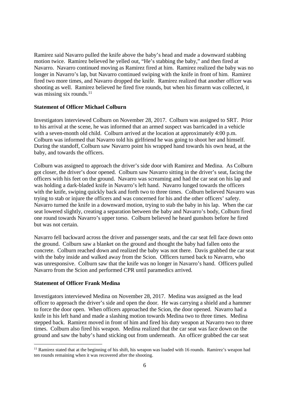Ramirez said Navarro pulled the knife above the baby's head and made a downward stabbing motion twice. Ramirez believed he yelled out, "He's stabbing the baby," and then fired at Navarro. Navarro continued moving as Ramirez fired at him. Ramirez realized the baby was no longer in Navarro's lap, but Navarro continued swiping with the knife in front of him. Ramirez fired two more times, and Navarro dropped the knife. Ramirez realized that another officer was shooting as well. Ramirez believed he fired five rounds, but when his firearm was collected, it was missing six rounds. $11$ 

#### **Statement of Officer Michael Colburn**

Investigators interviewed Colburn on November 28, 2017. Colburn was assigned to SRT. Prior to his arrival at the scene, he was informed that an armed suspect was barricaded in a vehicle with a seven-month old child. Colburn arrived at the location at approximately 4:00 p.m. Colburn was informed that Navarro told his girlfriend he was going to shoot her and himself. During the standoff, Colburn saw Navarro point his wrapped hand towards his own head, at the baby, and towards the officers.

Colburn was assigned to approach the driver's side door with Ramirez and Medina. As Colburn got closer, the driver's door opened. Colburn saw Navarro sitting in the driver's seat, facing the officers with his feet on the ground. Navarro was screaming and had the car seat on his lap and was holding a dark-bladed knife in Navarro's left hand. Navarro lunged towards the officers with the knife, swiping quickly back and forth two to three times. Colburn believed Navarro was trying to stab or injure the officers and was concerned for his and the other officers' safety. Navarro turned the knife in a downward motion, trying to stab the baby in his lap. When the car seat lowered slightly, creating a separation between the baby and Navarro's body, Colburn fired one round towards Navarro's upper torso. Colburn believed he heard gunshots before he fired but was not certain.

Navarro fell backward across the driver and passenger seats, and the car seat fell face down onto the ground. Colburn saw a blanket on the ground and thought the baby had fallen onto the concrete. Colburn reached down and realized the baby was not there. Davis grabbed the car seat with the baby inside and walked away from the Scion. Officers turned back to Navarro, who was unresponsive. Colburn saw that the knife was no longer in Navarro's hand. Officers pulled Navarro from the Scion and performed CPR until paramedics arrived.

## **Statement of Officer Frank Medina**

Investigators interviewed Medina on November 28, 2017. Medina was assigned as the lead officer to approach the driver's side and open the door. He was carrying a shield and a hammer to force the door open. When officers approached the Scion, the door opened. Navarro had a knife in his left hand and made a slashing motion towards Medina two to three times. Medina stepped back. Ramirez moved in front of him and fired his duty weapon at Navarro two to three times. Colburn also fired his weapon. Medina realized that the car seat was face down on the ground and saw the baby's hand sticking out from underneath. An officer grabbed the car seat

 $11$  Ramirez stated that at the beginning of his shift, his weapon was loaded with 16 rounds. Ramirez's weapon had ten rounds remaining when it was recovered after the shooting.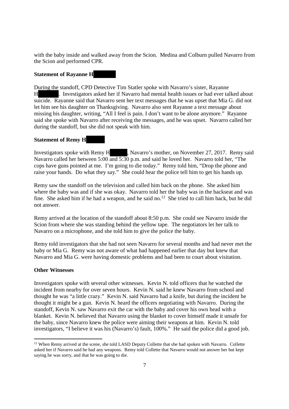with the baby inside and walked away from the Scion. Medina and Colburn pulled Navarro from the Scion and performed CPR.

## **Statement of Rayanne H**

During the standoff, CPD Detective Tim Statler spoke with Navarro's sister, Rayanne H . Investigators asked her if Navarro had mental health issues or had ever talked about suicide. Rayanne said that Navarro sent her text messages that he was upset that Mia G. did not let him see his daughter on Thanksgiving. Navarro also sent Rayanne a text message about missing his daughter, writing, "All I feel is pain. I don't want to be alone anymore." Rayanne said she spoke with Navarro after receiving the messages, and he was upset. Navarro called her during the standoff, but she did not speak with him.

## **Statement of Remy H**

Investigators spoke with Remy H , Navarro's mother, on November 27, 2017. Remy said Navarro called her between 5:00 and 5:30 p.m. and said he loved her. Navarro told her, "The cops have guns pointed at me. I'm going to die today." Remy told him, "Drop the phone and raise your hands. Do what they say." She could hear the police tell him to get his hands up.

Remy saw the standoff on the television and called him back on the phone. She asked him where the baby was and if she was okay. Navarro told her the baby was in the backseat and was fine. She asked him if he had a weapon, and he said no.<sup>12</sup> She tried to call him back, but he did not answer.

Remy arrived at the location of the standoff about 8:50 p.m. She could see Navarro inside the Scion from where she was standing behind the yellow tape. The negotiators let her talk to Navarro on a microphone, and she told him to give the police the baby.

Remy told investigators that she had not seen Navarro for several months and had never met the baby or Mia G. Remy was not aware of what had happened earlier that day but knew that Navarro and Mia G. were having domestic problems and had been to court about visitation.

### **Other Witnesses**

Investigators spoke with several other witnesses. Kevin N. told officers that he watched the incident from nearby for over seven hours. Kevin N. said he knew Navarro from school and thought he was "a little crazy." Kevin N. said Navarro had a knife, but during the incident he thought it might be a gun. Kevin N. heard the officers negotiating with Navarro. During the standoff, Kevin N. saw Navarro exit the car with the baby and cover his own head with a blanket. Kevin N. believed that Navarro using the blanket to cover himself made it unsafe for the baby, since Navarro knew the police were aiming their weapons at him. Kevin N. told investigators, "I believe it was his (Navarro's) fault, 100%." He said the police did a good job.

<sup>&</sup>lt;sup>12</sup> When Remy arrived at the scene, she told LASD Deputy Collette that she had spoken with Navarro. Collette asked her if Navarro said he had any weapons. Remy told Collette that Navarro would not answer her but kept saying he was sorry, and that he was going to die.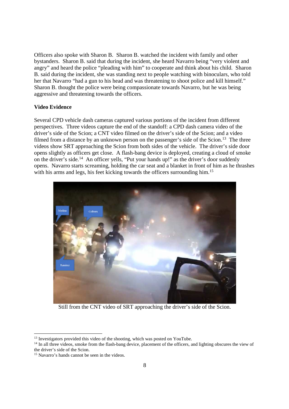Officers also spoke with Sharon B. Sharon B. watched the incident with family and other bystanders. Sharon B. said that during the incident, she heard Navarro being "very violent and angry" and heard the police "pleading with him" to cooperate and think about his child. Sharon B. said during the incident, she was standing next to people watching with binoculars, who told her that Navarro "had a gun to his head and was threatening to shoot police and kill himself." Sharon B. thought the police were being compassionate towards Navarro, but he was being aggressive and threatening towards the officers.

## **Video Evidence**

Several CPD vehicle dash cameras captured various portions of the incident from different perspectives. Three videos capture the end of the standoff: a CPD dash camera video of the driver's side of the Scion; a CNT video filmed on the driver's side of the Scion; and a video filmed from a distance by an unknown person on the passenger's side of the Scion.<sup>13</sup> The three videos show SRT approaching the Scion from both sides of the vehicle. The driver's side door opens slightly as officers get close. A flash-bang device is deployed, creating a cloud of smoke on the driver's side.<sup>14</sup> An officer yells, "Put your hands up!" as the driver's door suddenly opens. Navarro starts screaming, holding the car seat and a blanket in front of him as he thrashes with his arms and legs, his feet kicking towards the officers surrounding him.<sup>15</sup>



Still from the CNT video of SRT approaching the driver's side of the Scion.

<sup>&</sup>lt;sup>13</sup> Investigators provided this video of the shooting, which was posted on YouTube.

<sup>&</sup>lt;sup>14</sup> In all three videos, smoke from the flash-bang device, placement of the officers, and lighting obscures the view of the driver's side of the Scion.

<sup>&</sup>lt;sup>15</sup> Navarro's hands cannot be seen in the videos.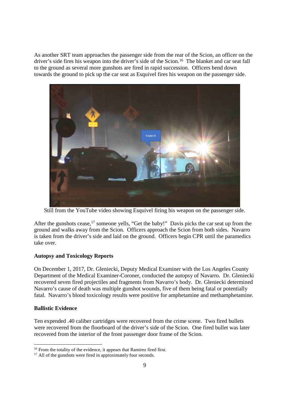As another SRT team approaches the passenger side from the rear of the Scion, an officer on the driver's side fires his weapon into the driver's side of the Scion.<sup>16</sup> The blanket and car seat fall to the ground as several more gunshots are fired in rapid succession. Officers bend down towards the ground to pick up the car seat as Esquivel fires his weapon on the passenger side.



Still from the YouTube video showing Esquivel firing his weapon on the passenger side.

After the gunshots cease,<sup>17</sup> someone yells, "Get the baby!" Davis picks the car seat up from the ground and walks away from the Scion. Officers approach the Scion from both sides. Navarro is taken from the driver's side and laid on the ground. Officers begin CPR until the paramedics take over.

## **Autopsy and Toxicology Reports**

On December 1, 2017, Dr. Gleniecki, Deputy Medical Examiner with the Los Angeles County Department of the Medical Examiner-Coroner, conducted the autopsy of Navarro. Dr. Gleniecki recovered seven fired projectiles and fragments from Navarro's body. Dr. Gleniecki determined Navarro's cause of death was multiple gunshot wounds, five of them being fatal or potentially fatal. Navarro's blood toxicology results were positive for amphetamine and methamphetamine.

## **Ballistic Evidence**

Ten expended .40 caliber cartridges were recovered from the crime scene. Two fired bullets were recovered from the floorboard of the driver's side of the Scion. One fired bullet was later recovered from the interior of the front passenger door frame of the Scion.

<sup>&</sup>lt;sup>16</sup> From the totality of the evidence, it appears that Ramirez fired first.

<sup>&</sup>lt;sup>17</sup> All of the gunshots were fired in approximately four seconds.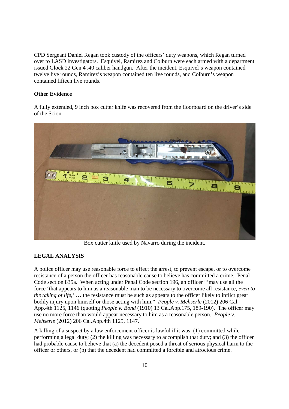CPD Sergeant Daniel Regan took custody of the officers' duty weapons, which Regan turned over to LASD investigators. Esquivel, Ramirez and Colburn were each armed with a department issued Glock 22 Gen 4 .40 caliber handgun. After the incident, Esquivel's weapon contained twelve live rounds, Ramirez's weapon contained ten live rounds, and Colburn's weapon contained fifteen live rounds.

## **Other Evidence**

A fully extended, 9 inch box cutter knife was recovered from the floorboard on the driver's side of the Scion.



Box cutter knife used by Navarro during the incident.

## **LEGAL ANALYSIS**

A police officer may use reasonable force to effect the arrest, to prevent escape, or to overcome resistance of a person the officer has reasonable cause to believe has committed a crime. Penal Code section 835a. When acting under Penal Code section 196, an officer "'may use all the force 'that appears to him as a reasonable man to be necessary to overcome all resistance, *even to the taking of life,'* … the resistance must be such as appears to the officer likely to inflict great bodily injury upon himself or those acting with him." *People v. Mehserle* (2012) 206 Cal. App.4th 1125, 1146 (quoting *People v. Bond* (1910) 13 Cal.App.175, 189-190). The officer may use no more force than would appear necessary to him as a reasonable person. *People v. Mehserle* (2012) 206 Cal.App.4th 1125, 1147.

A killing of a suspect by a law enforcement officer is lawful if it was: (1) committed while performing a legal duty; (2) the killing was necessary to accomplish that duty; and (3) the officer had probable cause to believe that (a) the decedent posed a threat of serious physical harm to the officer or others, or (b) that the decedent had committed a forcible and atrocious crime.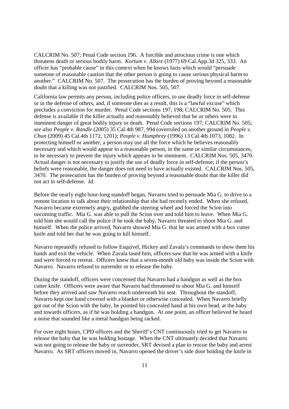CALCRIM No. 507; Penal Code section 196. A forcible and atrocious crime is one which threatens death or serious bodily harm. *Kortum v. Alkire* (1977) 69 Cal.App.3d 325, 333. An officer has "probable cause" in this context when he knows facts which would "persuade someone of reasonable caution that the other person is going to cause serious physical harm to another." CALCRIM No. 507. The prosecution has the burden of proving beyond a reasonable doubt that a killing was not justified. CALCRIM Nos. 505, 507.

California law permits any person, including police officers, to use deadly force in self-defense or in the defense of others, and, if someone dies as a result, this is a "lawful excuse" which precludes a conviction for murder. Penal Code sections 197, 198; CALCRIM No. 505. This defense is available if the killer actually and reasonably believed that he or others were in imminent danger of great bodily injury or death. Penal Code sections 197; CALCRIM No. 505; *see also People v. Randle* (2005) 35 Cal.4th 987, 994 (overruled on another ground in *People v. Chun* (2009) 45 Cal.4th 1172, 1201); *People v. Humphrey* (1996) 13 Cal.4th 1073, 1082. In protecting himself or another, a person may use all the force which he believes reasonably necessary and which would appear to a reasonable person, in the same or similar circumstances, to be necessary to prevent the injury which appears to be imminent. CALCRIM Nos. 505, 3470. Actual danger is not necessary to justify the use of deadly force in self-defense; if the person's beliefs were reasonable, the danger does not need to have actually existed. CALCRIM Nos. 505, 3470. The prosecution has the burden of proving beyond a reasonable doubt that the killer did not act in self-defense. *Id*.

Before the nearly eight hour-long standoff began, Navarro tried to persuade Mia G. to drive to a remote location to talk about their relationship that she had recently ended. When she refused, Navarro became extremely angry, grabbed the steering wheel and forced the Scion into oncoming traffic. Mia G. was able to pull the Scion over and told him to leave. When Mia G. told him she would call the police if he took the baby, Navarro threated to shoot Mia G. and himself. When the police arrived, Navarro showed Mia G. that he was armed with a box cutter knife and told her that he was going to kill himself.

Navarro repeatedly refused to follow Esquivel, Hickey and Zavala's commands to show them his hands and exit the vehicle. When Zavala tased him, officers saw that he was armed with a knife and were forced to retreat. Officers knew that a seven-month old baby was inside the Scion with Navarro. Navarro refused to surrender or to release the baby.

During the standoff, officers were concerned that Navarro had a handgun as well as the box cutter knife. Officers were aware that Navarro had threatened to shoot Mia G. and himself before they arrived and saw Navarro reach underneath his seat. Throughout the standoff, Navarro kept one hand covered with a blanket or otherwise concealed. When Navarro briefly got out of the Scion with the baby, he pointed his concealed hand at his own head, at the baby and towards officers, as if he was holding a handgun. At one point, an officer believed he heard a noise that sounded like a metal handgun being racked.

For over eight hours, CPD officers and the Sheriff's CNT continuously tried to get Navarro to release the baby that he was holding hostage. When the CNT ultimately decided that Navarro was not going to release the baby or surrender, SRT devised a plan to rescue the baby and arrest Navarro. As SRT officers moved in, Navarro opened the driver's side door holding the knife in